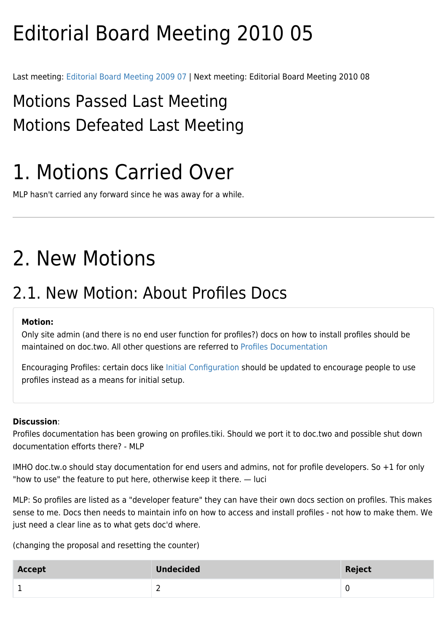# Editorial Board Meeting 2010 05

Last meeting: [Editorial Board Meeting 2009 07](https://doc.tiki.org/Editorial-Board-Meeting-2009-07) | Next meeting: [Editorial Board Meeting 2010 08](https://doc.tiki.org/tiki-editpage.php?page=Editorial+Board+Meeting+2010+08)

## Motions Passed Last Meeting Motions Defeated Last Meeting

## 1. Motions Carried Over

MLP hasn't carried any forward since he was away for a while.

## 2. New Motions

### 2.1. New Motion: About Profiles Docs

### **Motion:**

Only site admin (and there is no end user function for profiles?) docs on how to install profiles should be maintained on doc.two. All other questions are referred to [Profiles Documentation](http://profiles.tiki.org/Profiles%20Documentation)

Encouraging Profiles: certain docs like [Initial Configuration](https://doc.tiki.org/Initial-Configuration) should be updated to encourage people to use profiles instead as a means for initial setup.

### **Discussion**:

Profiles documentation has been growing on profiles.tiki. Should we port it to doc.two and possible shut down documentation efforts there? - MLP

IMHO doc.tw.o should stay documentation for end users and admins, not for profile developers. So +1 for only "how to use" the feature to put here, otherwise keep it there. — luci

MLP: So profiles are listed as a "developer feature" they can have their own docs section on profiles. This makes sense to me. Docs then needs to maintain info on how to access and install profiles - not how to make them. We just need a clear line as to what gets doc'd where.

(changing the proposal and resetting the counter)

| Accept | <b>Undecided</b> | Reject |
|--------|------------------|--------|
|        | -                |        |